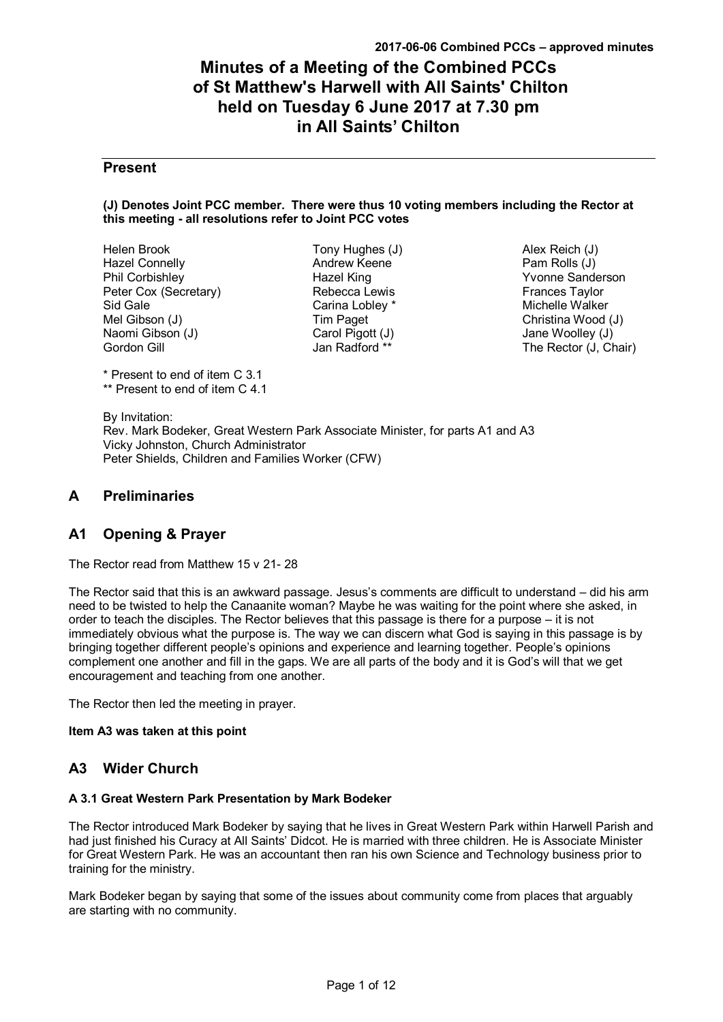# **Minutes of a Meeting of the Combined PCCs of St Matthew's Harwell with All Saints' Chilton held on Tuesday 6 June 2017 at 7.30 pm in All Saints' Chilton**

## **Present**

#### **(J) Denotes Joint PCC member. There were thus 10 voting members including the Rector at this meeting - all resolutions refer to Joint PCC votes**

Helen Brook Hazel Connelly Phil Corbishley Peter Cox (Secretary) Sid Gale Mel Gibson (J) Naomi Gibson (J) Gordon Gill

Tony Hughes (J) Andrew Keene Hazel King Rebecca Lewis Carina Lobley \* Tim Paget Carol Pigott (J) Jan Radford \*\*

Alex Reich (J) Pam Rolls (J) Yvonne Sanderson Frances Taylor Michelle Walker Christina Wood (J) Jane Woolley (J) The Rector (J, Chair)

\* Present to end of item C 3.1 \*\* Present to end of item C 4.1

By Invitation: Rev. Mark Bodeker, Great Western Park Associate Minister, for parts A1 and A3 Vicky Johnston, Church Administrator Peter Shields, Children and Families Worker (CFW)

## **A Preliminaries**

## **A1 Opening & Prayer**

The Rector read from Matthew 15 v 21- 28

The Rector said that this is an awkward passage. Jesus's comments are difficult to understand – did his arm need to be twisted to help the Canaanite woman? Maybe he was waiting for the point where she asked, in order to teach the disciples. The Rector believes that this passage is there for a purpose – it is not immediately obvious what the purpose is. The way we can discern what God is saying in this passage is by bringing together different people's opinions and experience and learning together. People's opinions complement one another and fill in the gaps. We are all parts of the body and it is God's will that we get encouragement and teaching from one another.

The Rector then led the meeting in prayer.

## **Item A3 was taken at this point**

## **A3 Wider Church**

## **A 3.1 Great Western Park Presentation by Mark Bodeker**

The Rector introduced Mark Bodeker by saying that he lives in Great Western Park within Harwell Parish and had just finished his Curacy at All Saints' Didcot. He is married with three children. He is Associate Minister for Great Western Park. He was an accountant then ran his own Science and Technology business prior to training for the ministry.

Mark Bodeker began by saying that some of the issues about community come from places that arguably are starting with no community.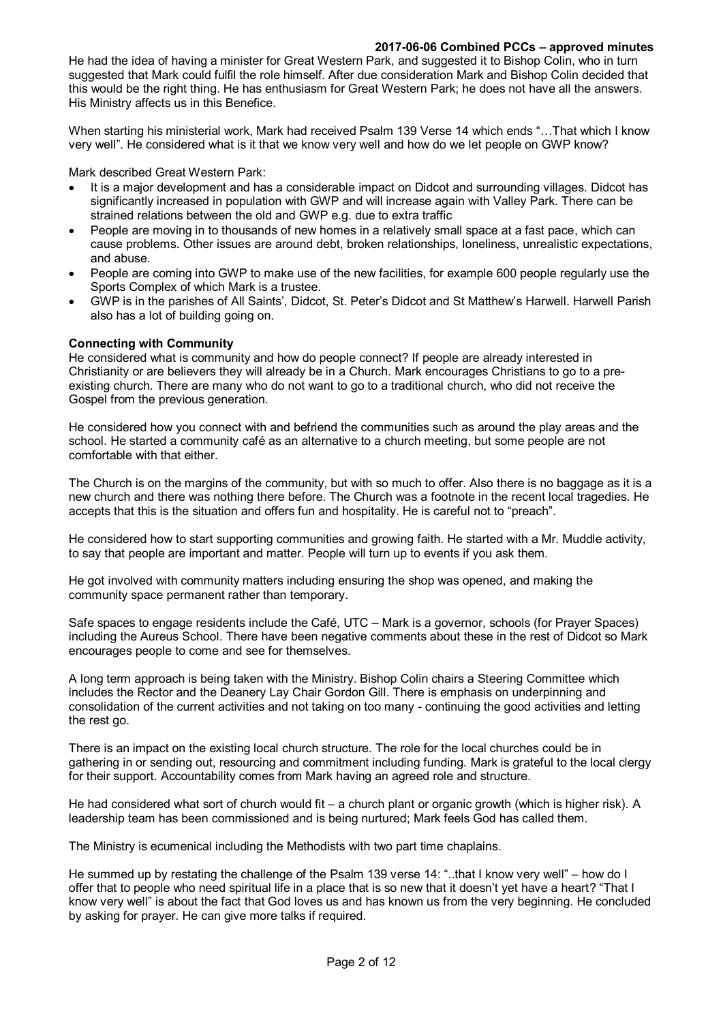He had the idea of having a minister for Great Western Park, and suggested it to Bishop Colin, who in turn suggested that Mark could fulfil the role himself. After due consideration Mark and Bishop Colin decided that this would be the right thing. He has enthusiasm for Great Western Park; he does not have all the answers. His Ministry affects us in this Benefice.

When starting his ministerial work, Mark had received Psalm 139 Verse 14 which ends "…That which I know very well". He considered what is it that we know very well and how do we let people on GWP know?

Mark described Great Western Park:

- It is a major development and has a considerable impact on Didcot and surrounding villages. Didcot has significantly increased in population with GWP and will increase again with Valley Park. There can be strained relations between the old and GWP e.g. due to extra traffic
- People are moving in to thousands of new homes in a relatively small space at a fast pace, which can cause problems. Other issues are around debt, broken relationships, loneliness, unrealistic expectations, and abuse.
- People are coming into GWP to make use of the new facilities, for example 600 people regularly use the Sports Complex of which Mark is a trustee.
- GWP is in the parishes of All Saints', Didcot, St. Peter's Didcot and St Matthew's Harwell. Harwell Parish also has a lot of building going on.

#### **Connecting with Community**

He considered what is community and how do people connect? If people are already interested in Christianity or are believers they will already be in a Church. Mark encourages Christians to go to a preexisting church. There are many who do not want to go to a traditional church, who did not receive the Gospel from the previous generation.

He considered how you connect with and befriend the communities such as around the play areas and the school. He started a community café as an alternative to a church meeting, but some people are not comfortable with that either.

The Church is on the margins of the community, but with so much to offer. Also there is no baggage as it is a new church and there was nothing there before. The Church was a footnote in the recent local tragedies. He accepts that this is the situation and offers fun and hospitality. He is careful not to "preach".

He considered how to start supporting communities and growing faith. He started with a Mr. Muddle activity, to say that people are important and matter. People will turn up to events if you ask them.

He got involved with community matters including ensuring the shop was opened, and making the community space permanent rather than temporary.

Safe spaces to engage residents include the Café, UTC – Mark is a governor, schools (for Prayer Spaces) including the Aureus School. There have been negative comments about these in the rest of Didcot so Mark encourages people to come and see for themselves.

A long term approach is being taken with the Ministry. Bishop Colin chairs a Steering Committee which includes the Rector and the Deanery Lay Chair Gordon Gill. There is emphasis on underpinning and consolidation of the current activities and not taking on too many - continuing the good activities and letting the rest go.

There is an impact on the existing local church structure. The role for the local churches could be in gathering in or sending out, resourcing and commitment including funding. Mark is grateful to the local clergy for their support. Accountability comes from Mark having an agreed role and structure.

He had considered what sort of church would fit – a church plant or organic growth (which is higher risk). A leadership team has been commissioned and is being nurtured; Mark feels God has called them.

The Ministry is ecumenical including the Methodists with two part time chaplains.

He summed up by restating the challenge of the Psalm 139 verse 14: "..that I know very well" – how do I offer that to people who need spiritual life in a place that is so new that it doesn't yet have a heart? "That I know very well" is about the fact that God loves us and has known us from the very beginning. He concluded by asking for prayer. He can give more talks if required.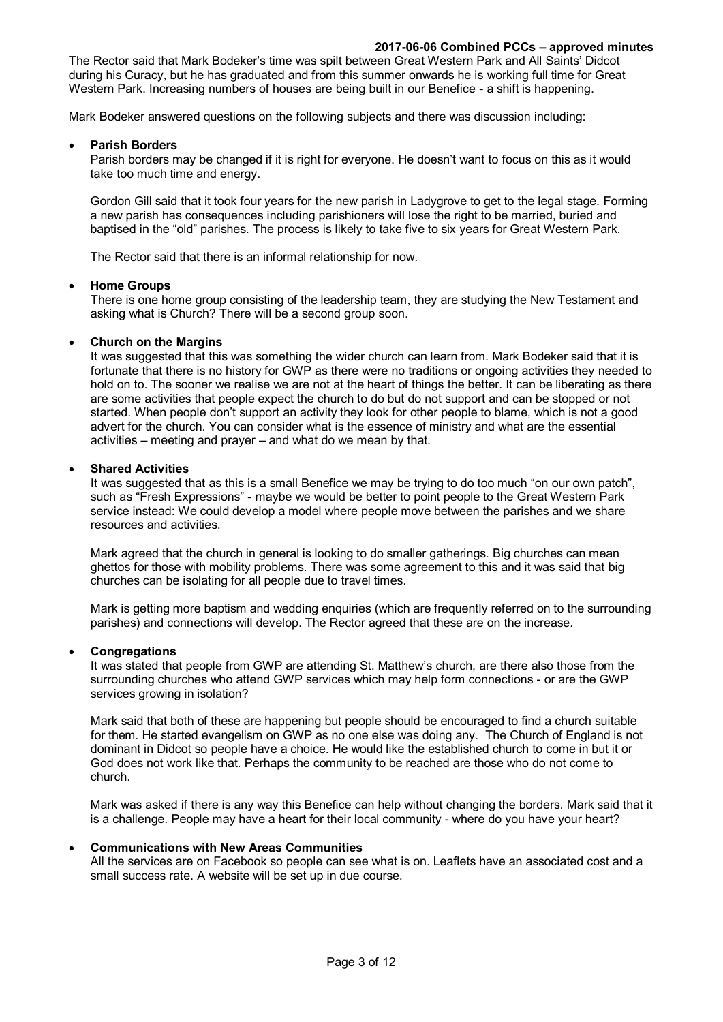The Rector said that Mark Bodeker's time was spilt between Great Western Park and All Saints' Didcot during his Curacy, but he has graduated and from this summer onwards he is working full time for Great Western Park. Increasing numbers of houses are being built in our Benefice - a shift is happening.

Mark Bodeker answered questions on the following subjects and there was discussion including:

#### **Parish Borders**

Parish borders may be changed if it is right for everyone. He doesn't want to focus on this as it would take too much time and energy.

Gordon Gill said that it took four years for the new parish in Ladygrove to get to the legal stage. Forming a new parish has consequences including parishioners will lose the right to be married, buried and baptised in the "old" parishes. The process is likely to take five to six years for Great Western Park.

The Rector said that there is an informal relationship for now.

#### **Home Groups**

There is one home group consisting of the leadership team, they are studying the New Testament and asking what is Church? There will be a second group soon.

#### **Church on the Margins**

It was suggested that this was something the wider church can learn from. Mark Bodeker said that it is fortunate that there is no history for GWP as there were no traditions or ongoing activities they needed to hold on to. The sooner we realise we are not at the heart of things the better. It can be liberating as there are some activities that people expect the church to do but do not support and can be stopped or not started. When people don't support an activity they look for other people to blame, which is not a good advert for the church. You can consider what is the essence of ministry and what are the essential activities – meeting and prayer – and what do we mean by that.

#### **Shared Activities**

It was suggested that as this is a small Benefice we may be trying to do too much "on our own patch", such as "Fresh Expressions" - maybe we would be better to point people to the Great Western Park service instead: We could develop a model where people move between the parishes and we share resources and activities.

Mark agreed that the church in general is looking to do smaller gatherings. Big churches can mean ghettos for those with mobility problems. There was some agreement to this and it was said that big churches can be isolating for all people due to travel times.

Mark is getting more baptism and wedding enquiries (which are frequently referred on to the surrounding parishes) and connections will develop. The Rector agreed that these are on the increase.

## **Congregations**

It was stated that people from GWP are attending St. Matthew's church, are there also those from the surrounding churches who attend GWP services which may help form connections - or are the GWP services growing in isolation?

Mark said that both of these are happening but people should be encouraged to find a church suitable for them. He started evangelism on GWP as no one else was doing any. The Church of England is not dominant in Didcot so people have a choice. He would like the established church to come in but it or God does not work like that. Perhaps the community to be reached are those who do not come to church.

Mark was asked if there is any way this Benefice can help without changing the borders. Mark said that it is a challenge. People may have a heart for their local community - where do you have your heart?

#### **Communications with New Areas Communities**

All the services are on Facebook so people can see what is on. Leaflets have an associated cost and a small success rate. A website will be set up in due course.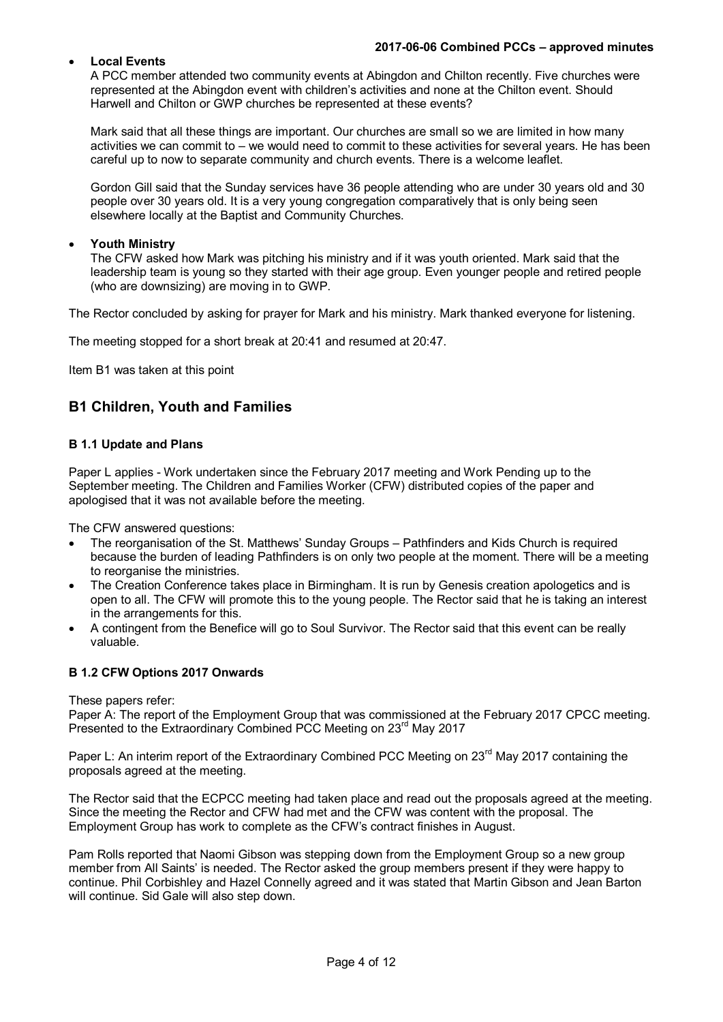## **Local Events**

A PCC member attended two community events at Abingdon and Chilton recently. Five churches were represented at the Abingdon event with children's activities and none at the Chilton event. Should Harwell and Chilton or GWP churches be represented at these events?

Mark said that all these things are important. Our churches are small so we are limited in how many activities we can commit to – we would need to commit to these activities for several years. He has been careful up to now to separate community and church events. There is a welcome leaflet.

Gordon Gill said that the Sunday services have 36 people attending who are under 30 years old and 30 people over 30 years old. It is a very young congregation comparatively that is only being seen elsewhere locally at the Baptist and Community Churches.

## **Youth Ministry**

The CFW asked how Mark was pitching his ministry and if it was youth oriented. Mark said that the leadership team is young so they started with their age group. Even younger people and retired people (who are downsizing) are moving in to GWP.

The Rector concluded by asking for prayer for Mark and his ministry. Mark thanked everyone for listening.

The meeting stopped for a short break at 20:41 and resumed at 20:47.

Item B1 was taken at this point

## **B1 Children, Youth and Families**

## **B 1.1 Update and Plans**

Paper L applies - Work undertaken since the February 2017 meeting and Work Pending up to the September meeting. The Children and Families Worker (CFW) distributed copies of the paper and apologised that it was not available before the meeting.

The CFW answered questions:

- The reorganisation of the St. Matthews' Sunday Groups Pathfinders and Kids Church is required because the burden of leading Pathfinders is on only two people at the moment. There will be a meeting to reorganise the ministries.
- The Creation Conference takes place in Birmingham. It is run by Genesis creation apologetics and is open to all. The CFW will promote this to the young people. The Rector said that he is taking an interest in the arrangements for this.
- A contingent from the Benefice will go to Soul Survivor. The Rector said that this event can be really valuable.

## **B 1.2 CFW Options 2017 Onwards**

These papers refer:

Paper A: The report of the Employment Group that was commissioned at the February 2017 CPCC meeting. Presented to the Extraordinary Combined PCC Meeting on 23<sup>rd</sup> May 2017

Paper L: An interim report of the Extraordinary Combined PCC Meeting on 23<sup>rd</sup> May 2017 containing the proposals agreed at the meeting.

The Rector said that the ECPCC meeting had taken place and read out the proposals agreed at the meeting. Since the meeting the Rector and CFW had met and the CFW was content with the proposal. The Employment Group has work to complete as the CFW's contract finishes in August.

Pam Rolls reported that Naomi Gibson was stepping down from the Employment Group so a new group member from All Saints' is needed. The Rector asked the group members present if they were happy to continue. Phil Corbishley and Hazel Connelly agreed and it was stated that Martin Gibson and Jean Barton will continue. Sid Gale will also step down.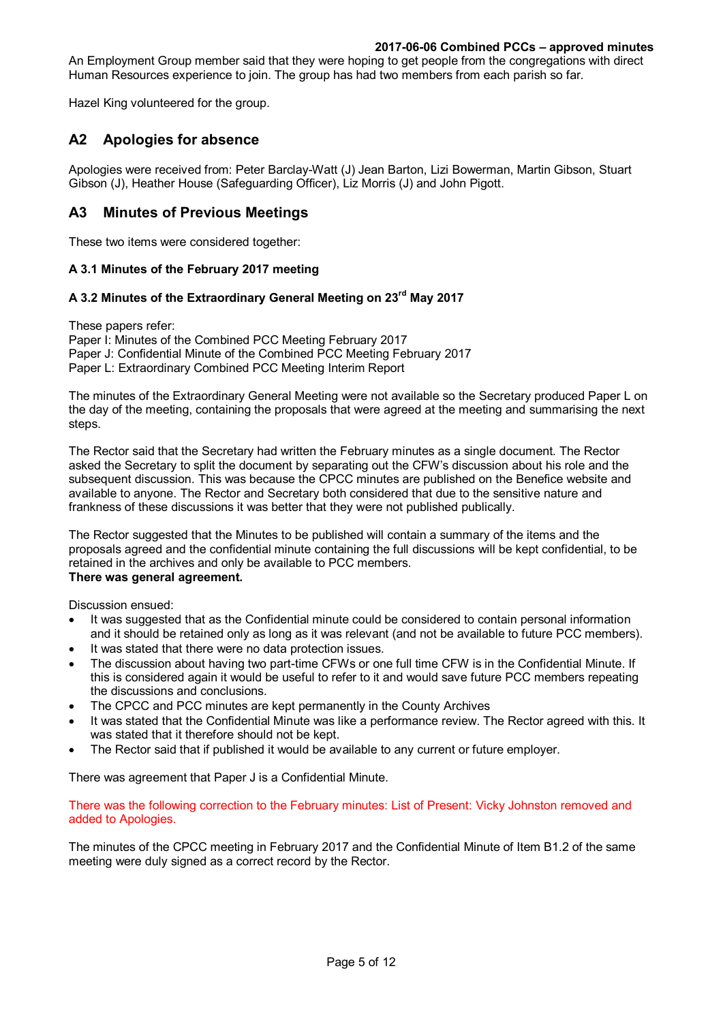An Employment Group member said that they were hoping to get people from the congregations with direct Human Resources experience to join. The group has had two members from each parish so far.

Hazel King volunteered for the group.

## **A2 Apologies for absence**

Apologies were received from: Peter Barclay-Watt (J) Jean Barton, Lizi Bowerman, Martin Gibson, Stuart Gibson (J), Heather House (Safeguarding Officer), Liz Morris (J) and John Pigott.

## **A3 Minutes of Previous Meetings**

These two items were considered together:

## **A 3.1 Minutes of the February 2017 meeting**

## **A 3.2 Minutes of the Extraordinary General Meeting on 23rd May 2017**

These papers refer: Paper I: Minutes of the Combined PCC Meeting February 2017 Paper J: Confidential Minute of the Combined PCC Meeting February 2017 Paper L: Extraordinary Combined PCC Meeting Interim Report

The minutes of the Extraordinary General Meeting were not available so the Secretary produced Paper L on the day of the meeting, containing the proposals that were agreed at the meeting and summarising the next steps.

The Rector said that the Secretary had written the February minutes as a single document. The Rector asked the Secretary to split the document by separating out the CFW's discussion about his role and the subsequent discussion. This was because the CPCC minutes are published on the Benefice website and available to anyone. The Rector and Secretary both considered that due to the sensitive nature and frankness of these discussions it was better that they were not published publically.

The Rector suggested that the Minutes to be published will contain a summary of the items and the proposals agreed and the confidential minute containing the full discussions will be kept confidential, to be retained in the archives and only be available to PCC members. **There was general agreement.**

Discussion ensued:

- It was suggested that as the Confidential minute could be considered to contain personal information and it should be retained only as long as it was relevant (and not be available to future PCC members).
- It was stated that there were no data protection issues.
- The discussion about having two part-time CFWs or one full time CFW is in the Confidential Minute. If this is considered again it would be useful to refer to it and would save future PCC members repeating the discussions and conclusions.
- The CPCC and PCC minutes are kept permanently in the County Archives
- It was stated that the Confidential Minute was like a performance review. The Rector agreed with this. It was stated that it therefore should not be kept.
- The Rector said that if published it would be available to any current or future employer.

There was agreement that Paper J is a Confidential Minute.

There was the following correction to the February minutes: List of Present: Vicky Johnston removed and added to Apologies.

The minutes of the CPCC meeting in February 2017 and the Confidential Minute of Item B1.2 of the same meeting were duly signed as a correct record by the Rector.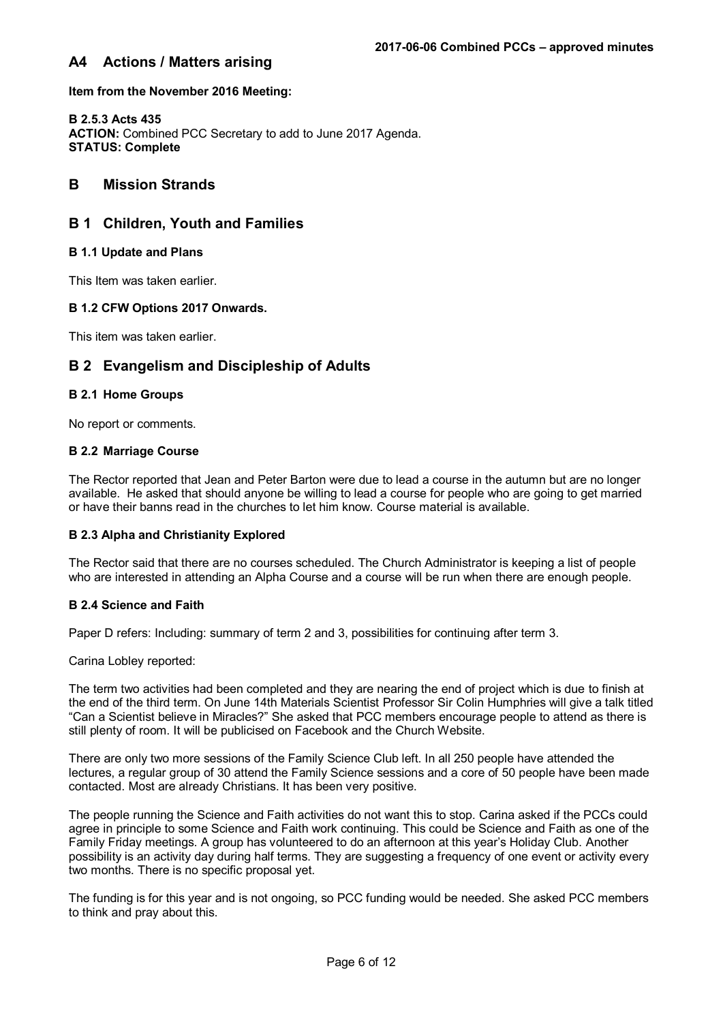## **A4 Actions / Matters arising**

**Item from the November 2016 Meeting:**

**B 2.5.3 Acts 435 ACTION:** Combined PCC Secretary to add to June 2017 Agenda. **STATUS: Complete**

## **B Mission Strands**

## **B 1 Children, Youth and Families**

#### **B 1.1 Update and Plans**

This Item was taken earlier.

#### **B 1.2 CFW Options 2017 Onwards.**

This item was taken earlier.

## **B 2 Evangelism and Discipleship of Adults**

#### **B 2.1 Home Groups**

No report or comments.

#### **B 2.2 Marriage Course**

The Rector reported that Jean and Peter Barton were due to lead a course in the autumn but are no longer available. He asked that should anyone be willing to lead a course for people who are going to get married or have their banns read in the churches to let him know. Course material is available.

#### **B 2.3 Alpha and Christianity Explored**

The Rector said that there are no courses scheduled. The Church Administrator is keeping a list of people who are interested in attending an Alpha Course and a course will be run when there are enough people.

#### **B 2.4 Science and Faith**

Paper D refers: Including: summary of term 2 and 3, possibilities for continuing after term 3.

Carina Lobley reported:

The term two activities had been completed and they are nearing the end of project which is due to finish at the end of the third term. On June 14th Materials Scientist Professor Sir Colin Humphries will give a talk titled "Can a Scientist believe in Miracles?" She asked that PCC members encourage people to attend as there is still plenty of room. It will be publicised on Facebook and the Church Website.

There are only two more sessions of the Family Science Club left. In all 250 people have attended the lectures, a regular group of 30 attend the Family Science sessions and a core of 50 people have been made contacted. Most are already Christians. It has been very positive.

The people running the Science and Faith activities do not want this to stop. Carina asked if the PCCs could agree in principle to some Science and Faith work continuing. This could be Science and Faith as one of the Family Friday meetings. A group has volunteered to do an afternoon at this year's Holiday Club. Another possibility is an activity day during half terms. They are suggesting a frequency of one event or activity every two months. There is no specific proposal yet.

The funding is for this year and is not ongoing, so PCC funding would be needed. She asked PCC members to think and pray about this.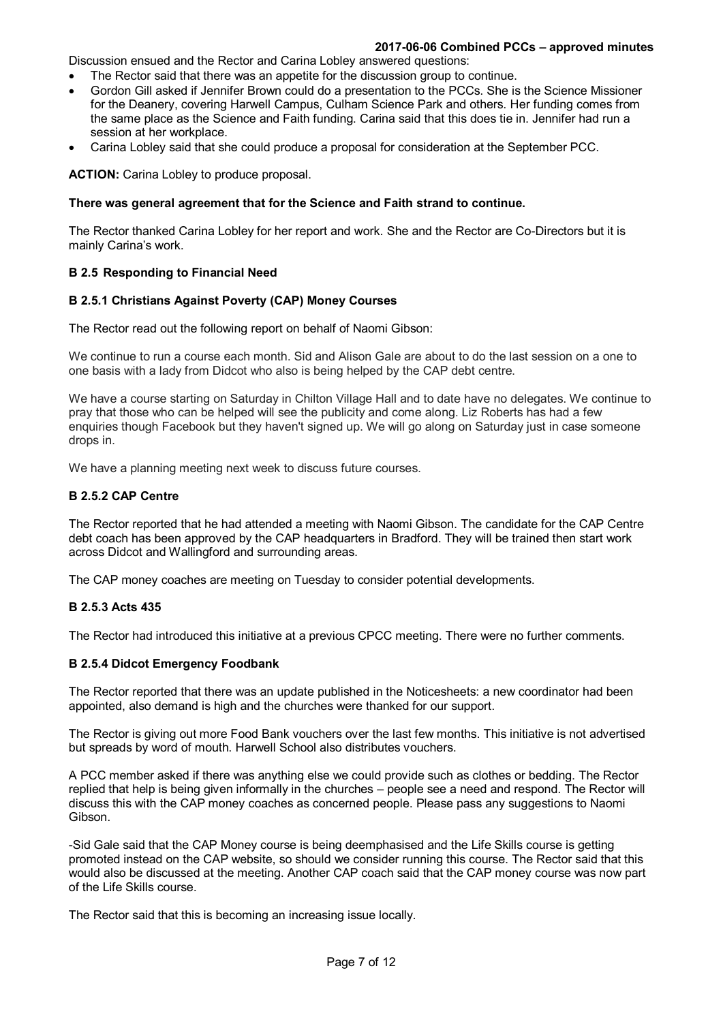Discussion ensued and the Rector and Carina Lobley answered questions:

- The Rector said that there was an appetite for the discussion group to continue.
- Gordon Gill asked if Jennifer Brown could do a presentation to the PCCs. She is the Science Missioner for the Deanery, covering Harwell Campus, Culham Science Park and others. Her funding comes from the same place as the Science and Faith funding. Carina said that this does tie in. Jennifer had run a session at her workplace.
- Carina Lobley said that she could produce a proposal for consideration at the September PCC.

**ACTION:** Carina Lobley to produce proposal.

#### **There was general agreement that for the Science and Faith strand to continue.**

The Rector thanked Carina Lobley for her report and work. She and the Rector are Co-Directors but it is mainly Carina's work.

#### **B 2.5 Responding to Financial Need**

#### **B 2.5.1 Christians Against Poverty (CAP) Money Courses**

The Rector read out the following report on behalf of Naomi Gibson:

We continue to run a course each month. Sid and Alison Gale are about to do the last session on a one to one basis with a lady from Didcot who also is being helped by the CAP debt centre.

We have a course starting on Saturday in Chilton Village Hall and to date have no delegates. We continue to pray that those who can be helped will see the publicity and come along. Liz Roberts has had a few enquiries though Facebook but they haven't signed up. We will go along on Saturday just in case someone drops in.

We have a planning meeting next week to discuss future courses.

#### **B 2.5.2 CAP Centre**

The Rector reported that he had attended a meeting with Naomi Gibson. The candidate for the CAP Centre debt coach has been approved by the CAP headquarters in Bradford. They will be trained then start work across Didcot and Wallingford and surrounding areas.

The CAP money coaches are meeting on Tuesday to consider potential developments.

#### **B 2.5.3 Acts 435**

The Rector had introduced this initiative at a previous CPCC meeting. There were no further comments.

#### **B 2.5.4 Didcot Emergency Foodbank**

The Rector reported that there was an update published in the Noticesheets: a new coordinator had been appointed, also demand is high and the churches were thanked for our support.

The Rector is giving out more Food Bank vouchers over the last few months. This initiative is not advertised but spreads by word of mouth. Harwell School also distributes vouchers.

A PCC member asked if there was anything else we could provide such as clothes or bedding. The Rector replied that help is being given informally in the churches – people see a need and respond. The Rector will discuss this with the CAP money coaches as concerned people. Please pass any suggestions to Naomi Gibson.

-Sid Gale said that the CAP Money course is being deemphasised and the Life Skills course is getting promoted instead on the CAP website, so should we consider running this course. The Rector said that this would also be discussed at the meeting. Another CAP coach said that the CAP money course was now part of the Life Skills course.

The Rector said that this is becoming an increasing issue locally.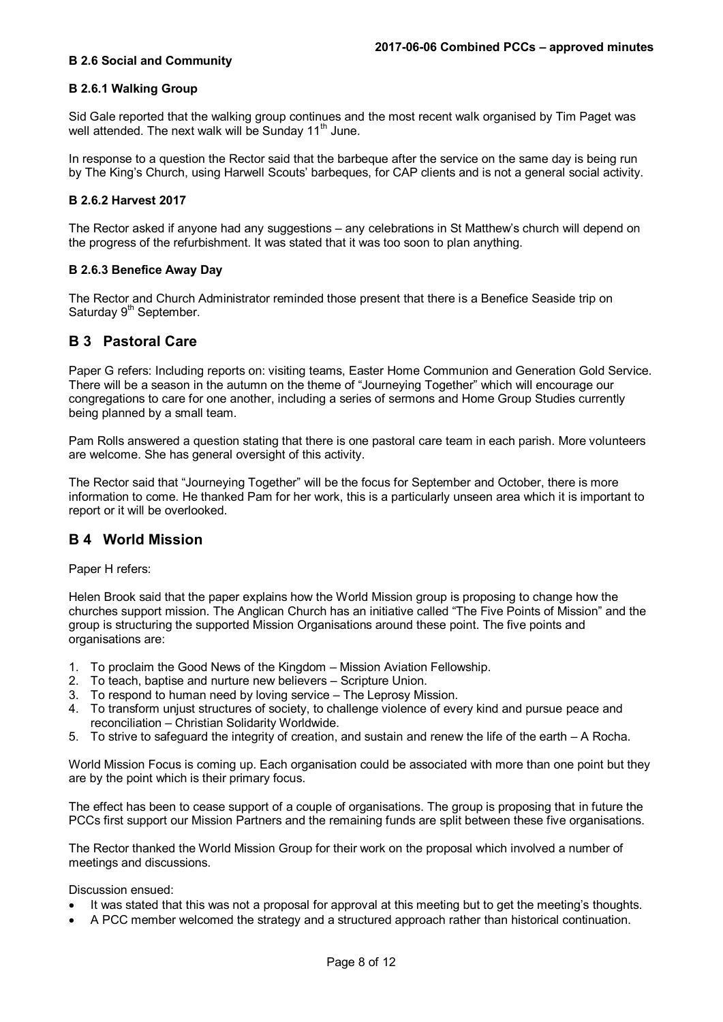#### **B 2.6 Social and Community**

#### **B 2.6.1 Walking Group**

Sid Gale reported that the walking group continues and the most recent walk organised by Tim Paget was well attended. The next walk will be Sunday 11<sup>th</sup> June.

In response to a question the Rector said that the barbeque after the service on the same day is being run by The King's Church, using Harwell Scouts' barbeques, for CAP clients and is not a general social activity.

#### **B 2.6.2 Harvest 2017**

The Rector asked if anyone had any suggestions – any celebrations in St Matthew's church will depend on the progress of the refurbishment. It was stated that it was too soon to plan anything.

#### **B 2.6.3 Benefice Away Day**

The Rector and Church Administrator reminded those present that there is a Benefice Seaside trip on Saturday 9<sup>th</sup> September.

## **B 3 Pastoral Care**

Paper G refers: Including reports on: visiting teams, Easter Home Communion and Generation Gold Service. There will be a season in the autumn on the theme of "Journeying Together" which will encourage our congregations to care for one another, including a series of sermons and Home Group Studies currently being planned by a small team.

Pam Rolls answered a question stating that there is one pastoral care team in each parish. More volunteers are welcome. She has general oversight of this activity.

The Rector said that "Journeying Together" will be the focus for September and October, there is more information to come. He thanked Pam for her work, this is a particularly unseen area which it is important to report or it will be overlooked.

## **B 4 World Mission**

Paper H refers:

Helen Brook said that the paper explains how the World Mission group is proposing to change how the churches support mission. The Anglican Church has an initiative called "The Five Points of Mission" and the group is structuring the supported Mission Organisations around these point. The five points and organisations are:

- 1. To proclaim the Good News of the Kingdom Mission Aviation Fellowship.
- 2. To teach, baptise and nurture new believers Scripture Union.
- 3. To respond to human need by loving service The Leprosy Mission.
- 4. To transform unjust structures of society, to challenge violence of every kind and pursue peace and reconciliation – Christian Solidarity Worldwide.
- 5. To strive to safeguard the integrity of creation, and sustain and renew the life of the earth A Rocha.

World Mission Focus is coming up. Each organisation could be associated with more than one point but they are by the point which is their primary focus.

The effect has been to cease support of a couple of organisations. The group is proposing that in future the PCCs first support our Mission Partners and the remaining funds are split between these five organisations.

The Rector thanked the World Mission Group for their work on the proposal which involved a number of meetings and discussions.

Discussion ensued:

- It was stated that this was not a proposal for approval at this meeting but to get the meeting's thoughts.
- A PCC member welcomed the strategy and a structured approach rather than historical continuation.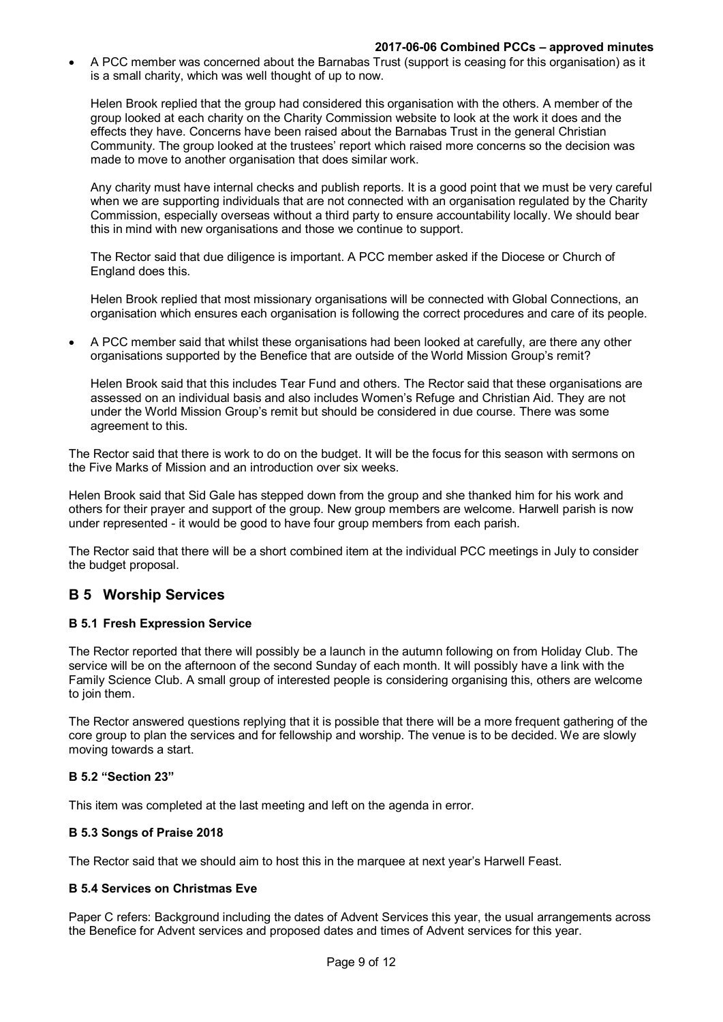A PCC member was concerned about the Barnabas Trust (support is ceasing for this organisation) as it is a small charity, which was well thought of up to now.

Helen Brook replied that the group had considered this organisation with the others. A member of the group looked at each charity on the Charity Commission website to look at the work it does and the effects they have. Concerns have been raised about the Barnabas Trust in the general Christian Community. The group looked at the trustees' report which raised more concerns so the decision was made to move to another organisation that does similar work.

Any charity must have internal checks and publish reports. It is a good point that we must be very careful when we are supporting individuals that are not connected with an organisation regulated by the Charity Commission, especially overseas without a third party to ensure accountability locally. We should bear this in mind with new organisations and those we continue to support.

The Rector said that due diligence is important. A PCC member asked if the Diocese or Church of England does this.

Helen Brook replied that most missionary organisations will be connected with Global Connections, an organisation which ensures each organisation is following the correct procedures and care of its people.

 A PCC member said that whilst these organisations had been looked at carefully, are there any other organisations supported by the Benefice that are outside of the World Mission Group's remit?

Helen Brook said that this includes Tear Fund and others. The Rector said that these organisations are assessed on an individual basis and also includes Women's Refuge and Christian Aid. They are not under the World Mission Group's remit but should be considered in due course. There was some agreement to this.

The Rector said that there is work to do on the budget. It will be the focus for this season with sermons on the Five Marks of Mission and an introduction over six weeks.

Helen Brook said that Sid Gale has stepped down from the group and she thanked him for his work and others for their prayer and support of the group. New group members are welcome. Harwell parish is now under represented - it would be good to have four group members from each parish.

The Rector said that there will be a short combined item at the individual PCC meetings in July to consider the budget proposal.

## **B 5 Worship Services**

## **B 5.1 Fresh Expression Service**

The Rector reported that there will possibly be a launch in the autumn following on from Holiday Club. The service will be on the afternoon of the second Sunday of each month. It will possibly have a link with the Family Science Club. A small group of interested people is considering organising this, others are welcome to join them.

The Rector answered questions replying that it is possible that there will be a more frequent gathering of the core group to plan the services and for fellowship and worship. The venue is to be decided. We are slowly moving towards a start.

## **B 5.2 "Section 23"**

This item was completed at the last meeting and left on the agenda in error.

## **B 5.3 Songs of Praise 2018**

The Rector said that we should aim to host this in the marquee at next year's Harwell Feast.

## **B 5.4 Services on Christmas Eve**

Paper C refers: Background including the dates of Advent Services this year, the usual arrangements across the Benefice for Advent services and proposed dates and times of Advent services for this year.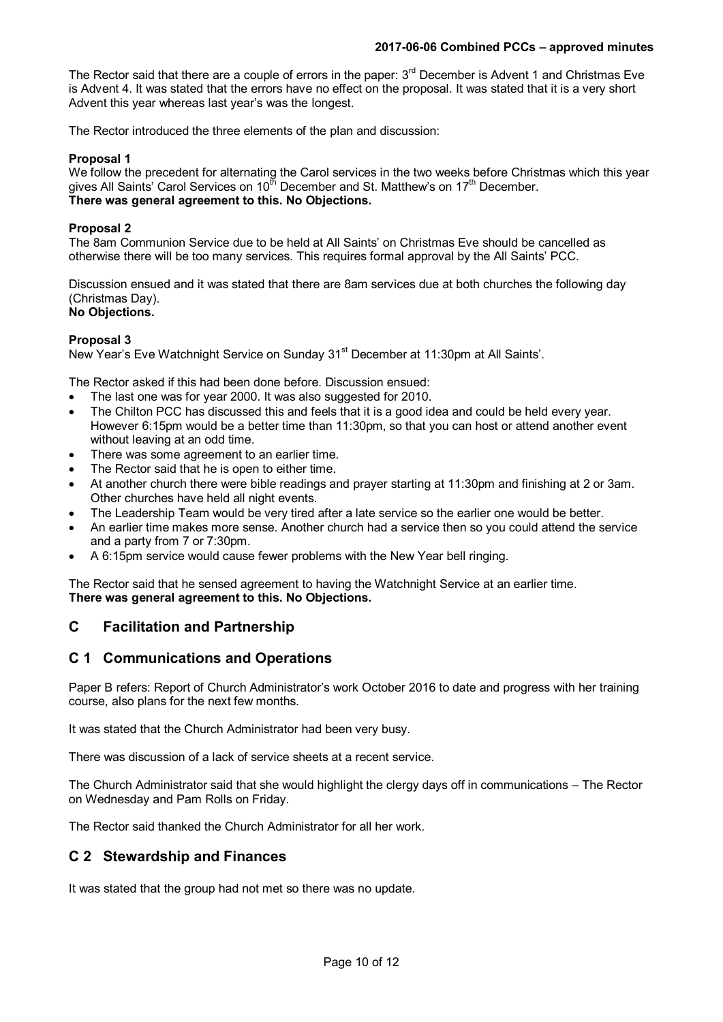The Rector said that there are a couple of errors in the paper: 3<sup>rd</sup> December is Advent 1 and Christmas Eve is Advent 4. It was stated that the errors have no effect on the proposal. It was stated that it is a very short Advent this year whereas last year's was the longest.

The Rector introduced the three elements of the plan and discussion:

## **Proposal 1**

We follow the precedent for alternating the Carol services in the two weeks before Christmas which this year gives All Saints' Carol Services on  $10^{th}$  December and St. Matthew's on  $17^{th}$  December. **There was general agreement to this. No Objections.**

## **Proposal 2**

The 8am Communion Service due to be held at All Saints' on Christmas Eve should be cancelled as otherwise there will be too many services. This requires formal approval by the All Saints' PCC.

Discussion ensued and it was stated that there are 8am services due at both churches the following day (Christmas Day).

# **No Objections.**

#### **Proposal 3**

New Year's Eve Watchnight Service on Sunday 31<sup>st</sup> December at 11:30pm at All Saints'.

The Rector asked if this had been done before. Discussion ensued:

- The last one was for year 2000. It was also suggested for 2010.
- The Chilton PCC has discussed this and feels that it is a good idea and could be held every year. However 6:15pm would be a better time than 11:30pm, so that you can host or attend another event without leaving at an odd time.
- There was some agreement to an earlier time.
- The Rector said that he is open to either time.
- At another church there were bible readings and prayer starting at 11:30pm and finishing at 2 or 3am. Other churches have held all night events.
- The Leadership Team would be very tired after a late service so the earlier one would be better.
- An earlier time makes more sense. Another church had a service then so you could attend the service and a party from 7 or 7:30pm.
- A 6:15pm service would cause fewer problems with the New Year bell ringing.

The Rector said that he sensed agreement to having the Watchnight Service at an earlier time. **There was general agreement to this. No Objections.**

## **C Facilitation and Partnership**

## **C 1 Communications and Operations**

Paper B refers: Report of Church Administrator's work October 2016 to date and progress with her training course, also plans for the next few months.

It was stated that the Church Administrator had been very busy.

There was discussion of a lack of service sheets at a recent service.

The Church Administrator said that she would highlight the clergy days off in communications – The Rector on Wednesday and Pam Rolls on Friday.

The Rector said thanked the Church Administrator for all her work.

## **C 2 Stewardship and Finances**

It was stated that the group had not met so there was no update.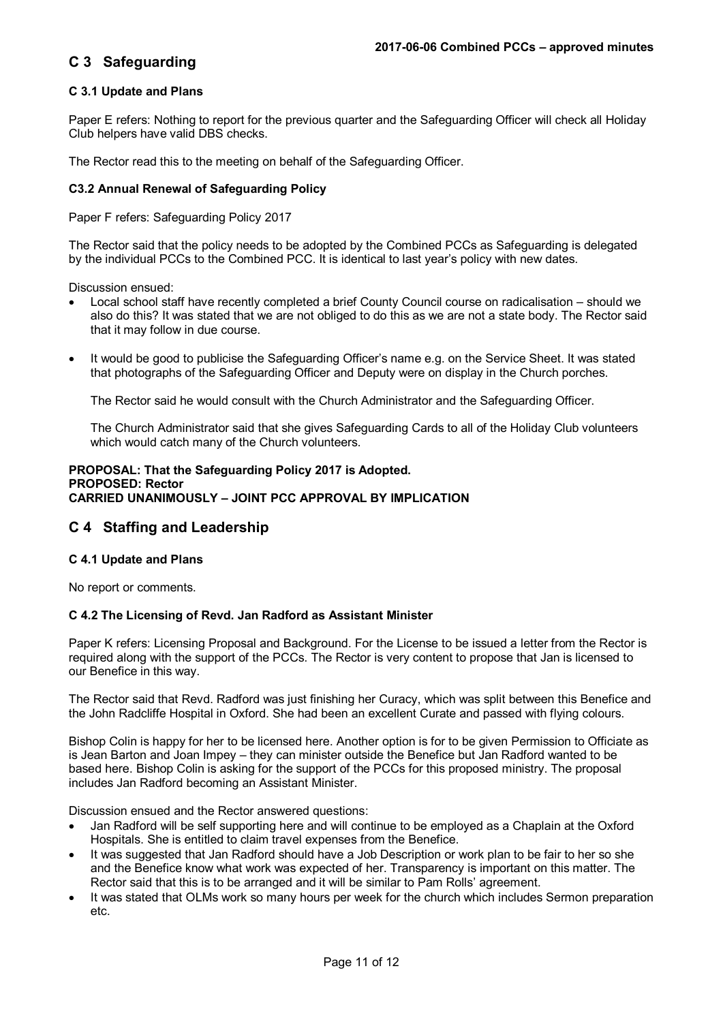## **C 3 Safeguarding**

## **C 3.1 Update and Plans**

Paper E refers: Nothing to report for the previous quarter and the Safeguarding Officer will check all Holiday Club helpers have valid DBS checks.

The Rector read this to the meeting on behalf of the Safeguarding Officer.

#### **C3.2 Annual Renewal of Safeguarding Policy**

Paper F refers: Safeguarding Policy 2017

The Rector said that the policy needs to be adopted by the Combined PCCs as Safeguarding is delegated by the individual PCCs to the Combined PCC. It is identical to last year's policy with new dates.

Discussion ensued:

- Local school staff have recently completed a brief County Council course on radicalisation should we also do this? It was stated that we are not obliged to do this as we are not a state body. The Rector said that it may follow in due course.
- It would be good to publicise the Safeguarding Officer's name e.g. on the Service Sheet. It was stated that photographs of the Safeguarding Officer and Deputy were on display in the Church porches.

The Rector said he would consult with the Church Administrator and the Safeguarding Officer.

The Church Administrator said that she gives Safeguarding Cards to all of the Holiday Club volunteers which would catch many of the Church volunteers.

#### **PROPOSAL: That the Safeguarding Policy 2017 is Adopted. PROPOSED: Rector CARRIED UNANIMOUSLY – JOINT PCC APPROVAL BY IMPLICATION**

## **C 4 Staffing and Leadership**

#### **C 4.1 Update and Plans**

No report or comments.

#### **C 4.2 The Licensing of Revd. Jan Radford as Assistant Minister**

Paper K refers: Licensing Proposal and Background. For the License to be issued a letter from the Rector is required along with the support of the PCCs. The Rector is very content to propose that Jan is licensed to our Benefice in this way.

The Rector said that Revd. Radford was just finishing her Curacy, which was split between this Benefice and the John Radcliffe Hospital in Oxford. She had been an excellent Curate and passed with flying colours.

Bishop Colin is happy for her to be licensed here. Another option is for to be given Permission to Officiate as is Jean Barton and Joan Impey – they can minister outside the Benefice but Jan Radford wanted to be based here. Bishop Colin is asking for the support of the PCCs for this proposed ministry. The proposal includes Jan Radford becoming an Assistant Minister.

Discussion ensued and the Rector answered questions:

- Jan Radford will be self supporting here and will continue to be employed as a Chaplain at the Oxford Hospitals. She is entitled to claim travel expenses from the Benefice.
- It was suggested that Jan Radford should have a Job Description or work plan to be fair to her so she and the Benefice know what work was expected of her. Transparency is important on this matter. The Rector said that this is to be arranged and it will be similar to Pam Rolls' agreement.
- It was stated that OLMs work so many hours per week for the church which includes Sermon preparation etc.